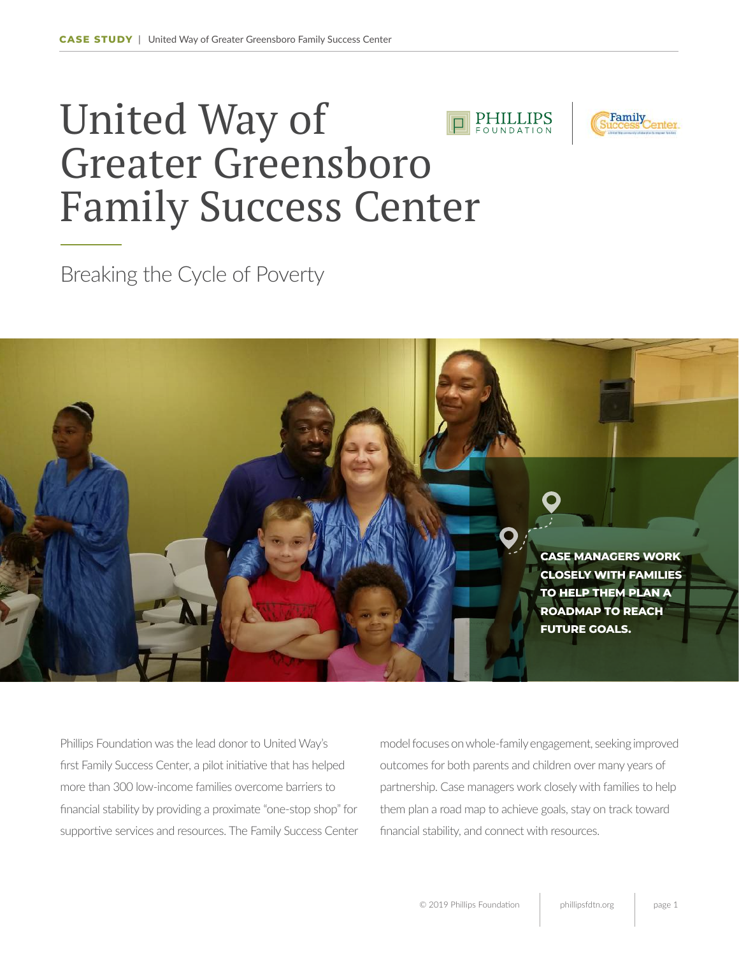## United Way of PHILLIPS Greater Greensboro Family Success Center

Breaking the Cycle of Poverty



Phillips Foundation was the lead donor to United Way's first Family Success Center, a pilot initiative that has helped more than 300 low-income families overcome barriers to financial stability by providing a proximate "one-stop shop" for supportive services and resources. The Family Success Center model focuses on whole-family engagement, seeking improved outcomes for both parents and children over many years of partnership. Case managers work closely with families to help them plan a road map to achieve goals, stay on track toward financial stability, and connect with resources.

Family